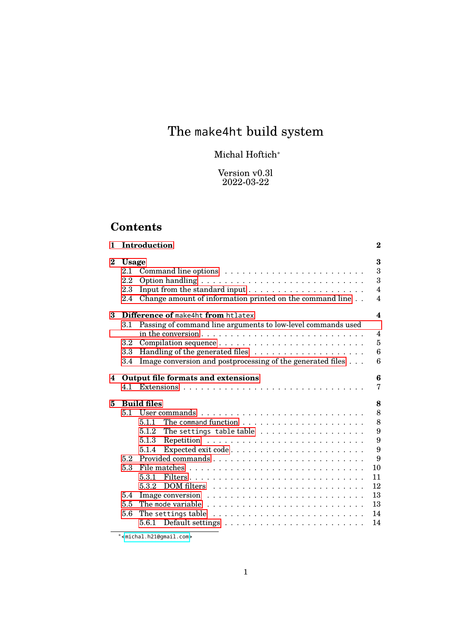# The make4ht build system

# Michal Hoftich<sup>∗</sup>

Version v0.3l 2022-03-22

# **Contents**

| 1        |                                          | Introduction                                                                                                                                                                                                                                                                                                                      | $\bf{2}$                                                 |
|----------|------------------------------------------|-----------------------------------------------------------------------------------------------------------------------------------------------------------------------------------------------------------------------------------------------------------------------------------------------------------------------------------|----------------------------------------------------------|
| $\bf{2}$ | <b>Usage</b><br>2.1<br>2.2<br>2.3<br>2.4 | Change amount of information printed on the command line                                                                                                                                                                                                                                                                          | 3<br>3<br>3<br>$\overline{4}$<br>$\overline{\mathbf{4}}$ |
| 3        |                                          | Difference of make4ht from htlatex                                                                                                                                                                                                                                                                                                | 4                                                        |
|          | $3.1\,$<br>$3.2\,$<br>3.3<br>3.4         | Passing of command line arguments to low-level commands used<br>Image conversion and postprocessing of the generated files                                                                                                                                                                                                        | $\overline{4}$<br>5<br>6<br>6                            |
| 4        |                                          | Output file formats and extensions                                                                                                                                                                                                                                                                                                | 6<br>7                                                   |
| 5        | 51<br>5.2                                | <b>Build files</b><br>5.1.1<br>The settings table table $\dots \dots \dots \dots \dots \dots$<br>5.1.2<br>5.1.3<br>5.1.4                                                                                                                                                                                                          | 8<br>8<br>8<br>9<br>9<br>9<br>9                          |
|          | 5.3                                      |                                                                                                                                                                                                                                                                                                                                   | 10                                                       |
|          | 5.4<br>5.5<br>5.6                        | 5.3.1<br>$DOM$ filters $\ldots \ldots \ldots \ldots \ldots \ldots \ldots$<br>5.3.2<br>Image conversion $\dots \dots \dots \dots \dots \dots \dots \dots \dots$<br>The mode variable $\dots \dots \dots \dots \dots \dots \dots \dots \dots \dots$<br>The settings table $\ldots \ldots \ldots \ldots \ldots \ldots \ldots \ldots$ | 11<br>12<br>13<br>13<br>14<br>14                         |
|          |                                          |                                                                                                                                                                                                                                                                                                                                   |                                                          |

<sup>∗</sup><<michal.h21@gmail.com>>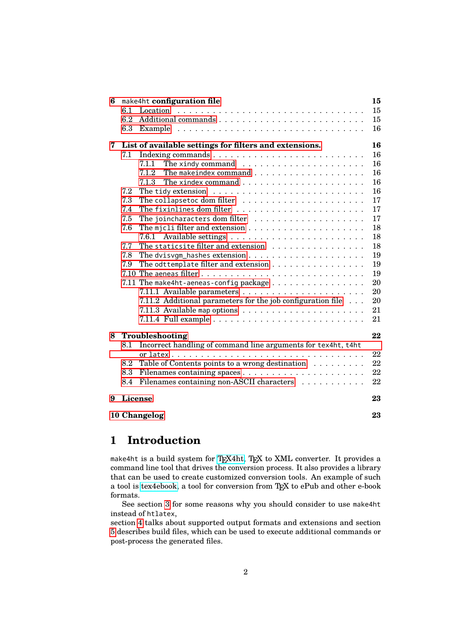| 6                  |         | make4ht configuration file                                                   | 15 |  |  |
|--------------------|---------|------------------------------------------------------------------------------|----|--|--|
|                    | 6.1     |                                                                              | 15 |  |  |
|                    | 6.2     |                                                                              | 15 |  |  |
|                    | 6.3     |                                                                              | 16 |  |  |
| 7                  |         | List of available settings for filters and extensions.                       | 16 |  |  |
|                    | 7.1     |                                                                              | 16 |  |  |
|                    |         | The xindy command $\ldots \ldots \ldots \ldots \ldots \ldots$<br>7.1.1       | 16 |  |  |
|                    |         | 7.1.2                                                                        | 16 |  |  |
|                    |         |                                                                              | 16 |  |  |
|                    | 7.2     |                                                                              | 16 |  |  |
|                    | 7.3     |                                                                              | 17 |  |  |
|                    | 7.4     |                                                                              | 17 |  |  |
|                    | 7.5     | The joincharacters dom filter $\ldots \ldots \ldots \ldots \ldots \ldots$    | 17 |  |  |
|                    | 7.6     |                                                                              | 18 |  |  |
|                    |         | 7.6.1                                                                        | 18 |  |  |
|                    | 7.7     | The staticsite filter and extension                                          | 18 |  |  |
|                    | 7.8     |                                                                              | 19 |  |  |
|                    | 7.9     | The odttemplate filter and extension $\ldots \ldots \ldots \ldots \ldots$    | 19 |  |  |
|                    |         |                                                                              | 19 |  |  |
|                    |         | 7.11 The make4ht-aeneas-config package $\dots \dots \dots \dots \dots \dots$ | 20 |  |  |
|                    |         |                                                                              | 20 |  |  |
|                    |         | 7.11.2 Additional parameters for the job configuration file $\ldots$         | 20 |  |  |
|                    |         | 7.11.3 Available map options $\ldots \ldots \ldots \ldots \ldots \ldots$     | 21 |  |  |
|                    |         |                                                                              | 21 |  |  |
| 8                  |         | Troubleshooting                                                              | 22 |  |  |
|                    | 8.1     | Incorrect handling of command line arguments for tex4ht, t4ht                |    |  |  |
|                    |         |                                                                              | 22 |  |  |
|                    | 8.2     | Table of Contents points to a wrong destination                              | 22 |  |  |
|                    | 8.3     |                                                                              | 22 |  |  |
|                    | 8.4     | Filenames containing non-ASCII characters                                    | 22 |  |  |
| 9                  | License |                                                                              | 23 |  |  |
| 10 Changelog<br>23 |         |                                                                              |    |  |  |
|                    |         |                                                                              |    |  |  |

# <span id="page-1-0"></span>**1 Introduction**

make4ht is a build system for [TEX4ht,](https://tug.org/tex4ht/) TEX to XML converter. It provides a command line tool that drives the conversion process. It also provides a library that can be used to create customized conversion tools. An example of such a tool is [tex4ebook,](https://github.com/michal-h21/tex4ebook) a tool for conversion from TEX to ePub and other e-book formats.

See section [3](#page-3-2) for some reasons why you should consider to use make4ht instead of htlatex,

section [4](#page-5-2) talks about supported output formats and extensions and section [5](#page-7-0) describes build files, which can be used to execute additional commands or post-process the generated files.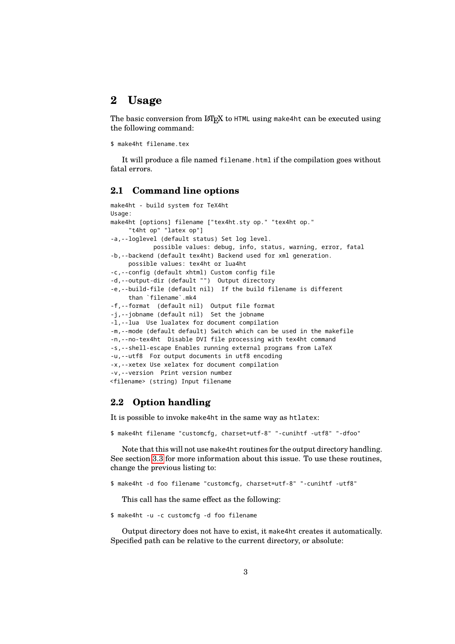# <span id="page-2-0"></span>**2 Usage**

The basic conversion from LATEX to HTML using make4ht can be executed using the following command:

```
$ make4ht filename.tex
```
It will produce a file named filename.html if the compilation goes without fatal errors.

### <span id="page-2-1"></span>**2.1 Command line options**

```
make4ht - build system for TeX4ht
Usage:
make4ht [options] filename ["tex4ht.sty op." "tex4ht op."
     "t4ht op" "latex op"]
-a,--loglevel (default status) Set log level.
           possible values: debug, info, status, warning, error, fatal
-b,--backend (default tex4ht) Backend used for xml generation.
     possible values: tex4ht or lua4ht
-c,--config (default xhtml) Custom config file
-d,--output-dir (default "") Output directory
-e,--build-file (default nil) If the build filename is different
     than `filename`.mk4
-f,--format (default nil) Output file format
-j,--jobname (default nil) Set the jobname
-l,--lua Use lualatex for document compilation
-m,--mode (default default) Switch which can be used in the makefile
-n,--no-tex4ht Disable DVI file processing with tex4ht command
-s,--shell-escape Enables running external programs from LaTeX
-u,--utf8 For output documents in utf8 encoding
-x,--xetex Use xelatex for document compilation
-v,--version Print version number
<filename> (string) Input filename
```
### <span id="page-2-2"></span>**2.2 Option handling**

It is possible to invoke make4ht in the same way as htlatex:

\$ make4ht filename "customcfg, charset=utf-8" "-cunihtf -utf8" "-dfoo"

Note that this will not use make4ht routines for the output directory handling. See section [3.3](#page-5-0) for more information about this issue. To use these routines, change the previous listing to:

```
$ make4ht -d foo filename "customcfg, charset=utf-8" "-cunihtf -utf8"
```
This call has the same effect as the following:

\$ make4ht -u -c customcfg -d foo filename

Output directory does not have to exist, it make4ht creates it automatically. Specified path can be relative to the current directory, or absolute: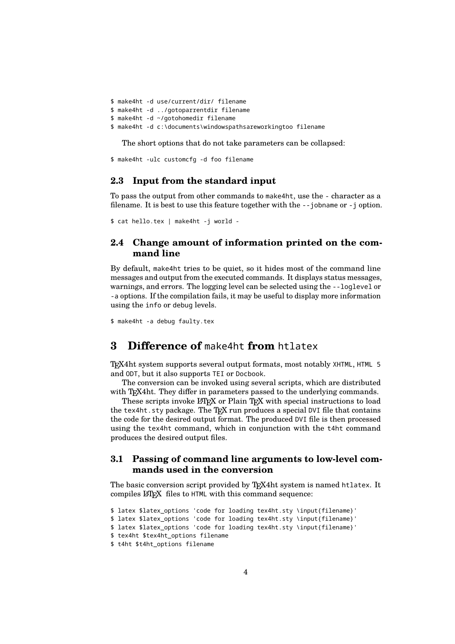```
$ make4ht -d use/current/dir/ filename
$ make4ht -d ../gotoparrentdir filename
$ make4ht -d ~/gotohomedir filename
$ make4ht -d c:\documents\windowspathsareworkingtoo filename
```
The short options that do not take parameters can be collapsed:

```
$ make4ht -ulc customcfg -d foo filename
```
### <span id="page-3-0"></span>**2.3 Input from the standard input**

To pass the output from other commands to make4ht, use the - character as a filename. It is best to use this feature together with the --jobname or -j option.

\$ cat hello.tex | make4ht -j world -

## <span id="page-3-1"></span>**2.4 Change amount of information printed on the command line**

By default, make4ht tries to be quiet, so it hides most of the command line messages and output from the executed commands. It displays status messages, warnings, and errors. The logging level can be selected using the --loglevel or -a options. If the compilation fails, it may be useful to display more information using the info or debug levels.

\$ make4ht -a debug faulty.tex

# <span id="page-3-2"></span>**3 Difference of** make4ht **from** htlatex

TEX4ht system supports several output formats, most notably XHTML, HTML 5 and ODT, but it also supports TEI or Docbook.

The conversion can be invoked using several scripts, which are distributed with T<sub>E</sub>X4ht. They differ in parameters passed to the underlying commands.

These scripts invoke LAT<sub>EX</sub> or Plain T<sub>EX</sub> with special instructions to load the tex4ht.sty package. The TFX run produces a special DVI file that contains the code for the desired output format. The produced DVI file is then processed using the tex4ht command, which in conjunction with the t4ht command produces the desired output files.

## <span id="page-3-3"></span>**3.1 Passing of command line arguments to low-level commands used in the conversion**

The basic conversion script provided by T<sub>E</sub>X4ht system is named htlatex. It compiles LAT<sub>E</sub>X files to HTML with this command sequence:

```
$ latex $latex_options 'code for loading tex4ht.sty \input{filename}'
$ latex $latex_options 'code for loading tex4ht.sty \input{filename}'
$ latex $latex_options 'code for loading tex4ht.sty \input{filename}'
$ tex4ht $tex4ht_options filename
$ t4ht $t4ht_options filename
```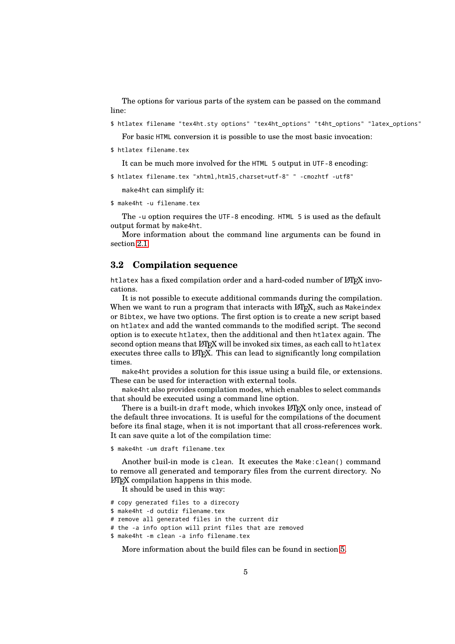The options for various parts of the system can be passed on the command line:

\$ htlatex filename "tex4ht.sty options" "tex4ht\_options" "t4ht\_options" "latex\_options"

For basic HTML conversion it is possible to use the most basic invocation:

\$ htlatex filename.tex

It can be much more involved for the HTML 5 output in UTF-8 encoding:

\$ htlatex filename.tex "xhtml,html5,charset=utf-8" " -cmozhtf -utf8"

make4ht can simplify it:

\$ make4ht -u filename.tex

The -u option requires the UTF-8 encoding. HTML 5 is used as the default output format by make4ht.

More information about the command line arguments can be found in section [2.1.](#page-2-1)

### <span id="page-4-0"></span>**3.2 Compilation sequence**

htlatex has a fixed compilation order and a hard-coded number of LATEX invocations.

It is not possible to execute additional commands during the compilation. When we want to run a program that interacts with LATEX, such as Makeindex or Bibtex, we have two options. The first option is to create a new script based on htlatex and add the wanted commands to the modified script. The second option is to execute htlatex, then the additional and then htlatex again. The second option means that LATEX will be invoked six times, as each call to htlatex executes three calls to LAT<sub>E</sub>X. This can lead to significantly long compilation times.

make4ht provides a solution for this issue using a build file, or extensions. These can be used for interaction with external tools.

make4ht also provides compilation modes, which enables to select commands that should be executed using a command line option.

There is a built-in draft mode, which invokes LATEX only once, instead of the default three invocations. It is useful for the compilations of the document before its final stage, when it is not important that all cross-references work. It can save quite a lot of the compilation time:

```
$ make4ht -um draft filename.tex
```
Another buil-in mode is clean. It executes the Make:clean() command to remove all generated and temporary files from the current directory. No LATEX compilation happens in this mode.

It should be used in this way:

- # copy generated files to a direcory
- \$ make4ht -d outdir filename.tex
- # remove all generated files in the current dir
- # the -a info option will print files that are removed
- \$ make4ht -m clean -a info filename.tex

More information about the build files can be found in section [5.](#page-7-0)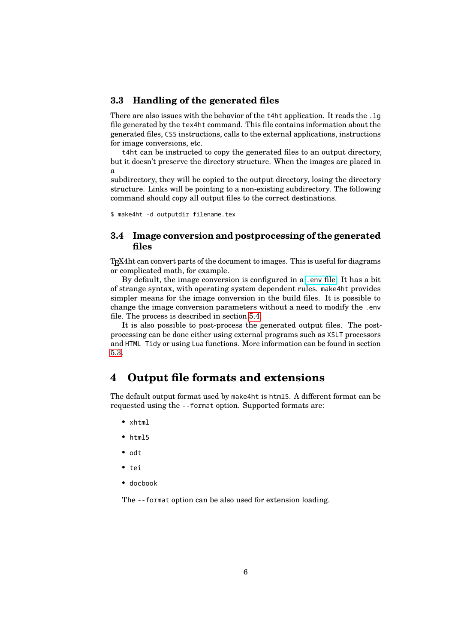### <span id="page-5-0"></span>**3.3 Handling of the generated files**

There are also issues with the behavior of the t4ht application. It reads the .lg file generated by the tex4ht command. This file contains information about the generated files, CSS instructions, calls to the external applications, instructions for image conversions, etc.

t4ht can be instructed to copy the generated files to an output directory, but it doesn't preserve the directory structure. When the images are placed in a

subdirectory, they will be copied to the output directory, losing the directory structure. Links will be pointing to a non-existing subdirectory. The following command should copy all output files to the correct destinations.

\$ make4ht -d outputdir filename.tex

### <span id="page-5-1"></span>**3.4 Image conversion and postprocessing of the generated files**

TEX4ht can convert parts of the document to images. This is useful for diagrams or complicated math, for example.

By default, the image conversion is configured in a [.env](https://www.tug.org/applications/tex4ht/mn34.html#mn35.html) file. It has a bit of strange syntax, with operating system dependent rules. make4ht provides simpler means for the image conversion in the build files. It is possible to change the image conversion parameters without a need to modify the .env file. The process is described in section [5.4.](#page-12-0)

It is also possible to post-process the generated output files. The postprocessing can be done either using external programs such as XSLT processors and HTML Tidy or using Lua functions. More information can be found in section [5.3.](#page-9-0)

# <span id="page-5-2"></span>**4 Output file formats and extensions**

The default output format used by make4ht is html5. A different format can be requested using the --format option. Supported formats are:

- xhtml
- html5
- odt
- tei
- docbook

The --format option can be also used for extension loading.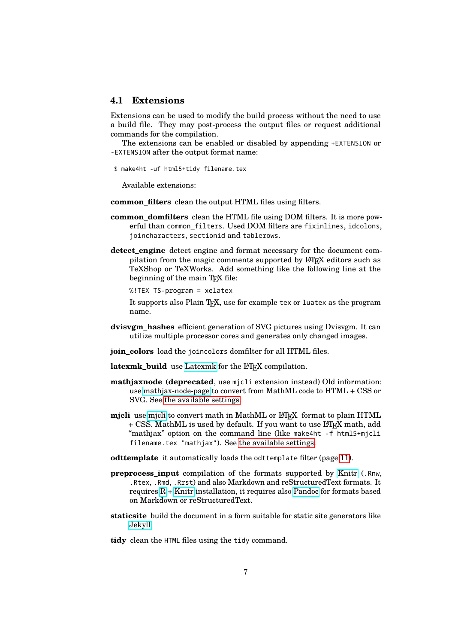#### <span id="page-6-0"></span>**4.1 Extensions**

Extensions can be used to modify the build process without the need to use a build file. They may post-process the output files or request additional commands for the compilation.

The extensions can be enabled or disabled by appending +EXTENSION or -EXTENSION after the output format name:

\$ make4ht -uf html5+tidy filename.tex

Available extensions:

- **common filters** clean the output HTML files using filters.
- **common\_domfilters** clean the HTML file using DOM filters. It is more powerful than common\_filters. Used DOM filters are fixinlines, idcolons, joincharacters, sectionid and tablerows.
- **detect\_engine** detect engine and format necessary for the document compilation from the magic comments supported by LATEX editors such as TeXShop or TeXWorks. Add something like the following line at the beginning of the main T<sub>E</sub>X file:

%!TEX TS-program = xelatex

It supports also Plain T<sub>E</sub>X, use for example tex or luatex as the program name.

- **dvisvgm\_hashes** efficient generation of SVG pictures using Dvisvgm. It can utilize multiple processor cores and generates only changed images.
- **join\_colors** load the joincolors domfilter for all HTML files.

latexmk\_build use [Latexmk](https://ctan.org/pkg/latexmk?lang=en) for the LAT<sub>EX</sub> compilation.

- **mathjaxnode** (**deprecated**, use mjcli extension instead) Old information: use [mathjax-node-page](https://github.com/pkra/mathjax-node-page/) to convert from MathML code to HTML + CSS or SVG. See [the available settings.](#page-16-3)
- **mjcli** use [mjcli](https://github.com/michal-h21/mjcli) to convert math in MathML or LATEX format to plain HTML + CSS. MathML is used by default. If you want to use LAT<sub>EX</sub> math, add "mathjax" option on the command line (like make4ht -f html5+mjcli filename.tex "mathjax"). See [the available settings.](#page-16-3)
- **odttemplate** it automatically loads the odttemplate filter (page [11\)](#page-10-0).
- **preprocess\_input** compilation of the formats supported by [Knitr](https://yihui.name/knitr/) (.Rnw, .Rtex, .Rmd, .Rrst) and also Markdown and reStructuredText formats. It requires [R](https://www.r-project.org/)+ [Knitr](https://yihui.name/knitr/) installation, it requires also [Pandoc](https://pandoc.org/) for formats based on Markdown or reStructuredText.
- **staticsite** build the document in a form suitable for static site generators like [Jekyll.](https://jekyllrb.com/)
- **tidy** clean the HTML files using the tidy command.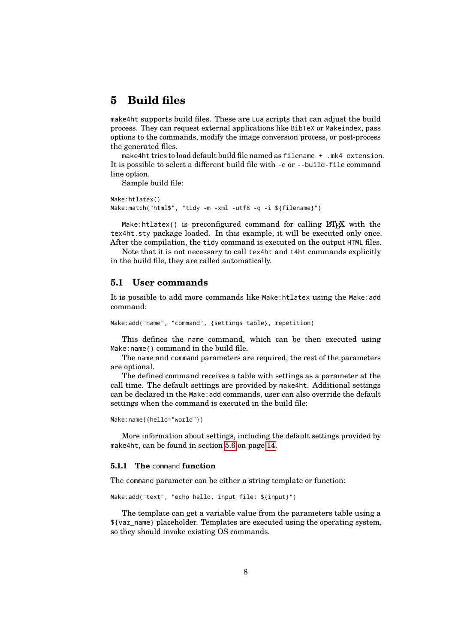# <span id="page-7-0"></span>**5 Build files**

make4ht supports build files. These are Lua scripts that can adjust the build process. They can request external applications like BibTeX or Makeindex, pass options to the commands, modify the image conversion process, or post-process the generated files.

make4ht tries to load default build file named as filename + .mk4 extension. It is possible to select a different build file with -e or --build-file command line option.

Sample build file:

```
Make:htlatex()
Make:match("html$", "tidy -m -xml -utf8 -q -i ${filename}")
```
Make:htlatex() is preconfigured command for calling  $L^2\llbracket P\rrbracket$  with the tex4ht.sty package loaded. In this example, it will be executed only once. After the compilation, the tidy command is executed on the output HTML files.

Note that it is not necessary to call tex4ht and t4ht commands explicitly in the build file, they are called automatically.

# <span id="page-7-1"></span>**5.1 User commands**

It is possible to add more commands like Make:htlatex using the Make:add command:

```
Make:add("name", "command", {settings table}, repetition)
```
This defines the name command, which can be then executed using Make:name() command in the build file.

The name and command parameters are required, the rest of the parameters are optional.

The defined command receives a table with settings as a parameter at the call time. The default settings are provided by make4ht. Additional settings can be declared in the Make:add commands, user can also override the default settings when the command is executed in the build file:

```
Make:name({hello="world"})
```
More information about settings, including the default settings provided by make4ht, can be found in section [5.6](#page-13-0) on page [14.](#page-13-0)

#### <span id="page-7-2"></span>**5.1.1 The** command **function**

The command parameter can be either a string template or function:

Make:add("text", "echo hello, input file: \${input}")

The template can get a variable value from the parameters table using a \${var\_name} placeholder. Templates are executed using the operating system, so they should invoke existing OS commands.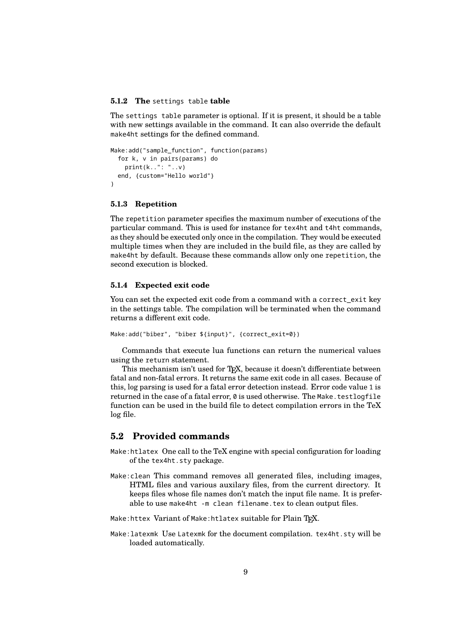#### <span id="page-8-0"></span>**5.1.2 The** settings table **table**

The settings table parameter is optional. If it is present, it should be a table with new settings available in the command. It can also override the default make4ht settings for the defined command.

```
Make:add("sample_function", function(params)
  for k, v in pairs(params) do
    print(k..": "..v)
  end, {custom="Hello world"}
)
```
#### <span id="page-8-1"></span>**5.1.3 Repetition**

The repetition parameter specifies the maximum number of executions of the particular command. This is used for instance for tex4ht and t4ht commands, as they should be executed only once in the compilation. They would be executed multiple times when they are included in the build file, as they are called by make4ht by default. Because these commands allow only one repetition, the second execution is blocked.

#### <span id="page-8-2"></span>**5.1.4 Expected exit code**

You can set the expected exit code from a command with a correct\_exit key in the settings table. The compilation will be terminated when the command returns a different exit code.

```
Make:add("biber", "biber ${input}", {correct_exit=0})
```
Commands that execute lua functions can return the numerical values using the return statement.

This mechanism isn't used for T<sub>F</sub>X, because it doesn't differentiate between fatal and non-fatal errors. It returns the same exit code in all cases. Because of this, log parsing is used for a fatal error detection instead. Error code value 1 is returned in the case of a fatal error,  $\varnothing$  is used otherwise. The Make.testlogfile function can be used in the build file to detect compilation errors in the TeX log file.

### <span id="page-8-3"></span>**5.2 Provided commands**

- Make:htlatex One call to the TeX engine with special configuration for loading of the tex4ht.sty package.
- Make:clean This command removes all generated files, including images, HTML files and various auxilary files, from the current directory. It keeps files whose file names don't match the input file name. It is preferable to use make4ht -m clean filename.tex to clean output files.

Make: httex Variant of Make: htlatex suitable for Plain TFX.

Make:latexmk Use Latexmk for the document compilation. tex4ht.sty will be loaded automatically.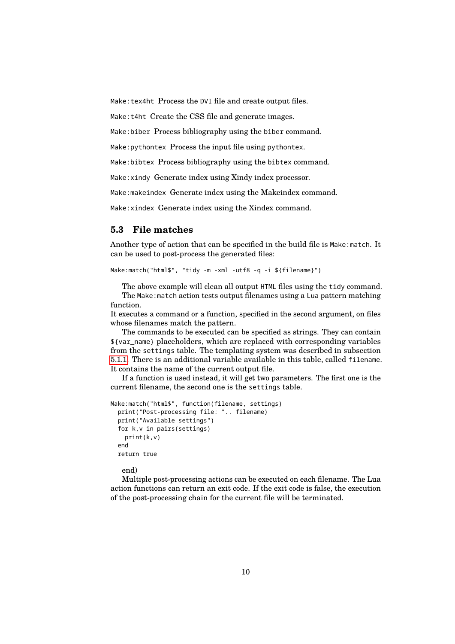Make:tex4ht Process the DVI file and create output files.

Make:t4ht Create the CSS file and generate images.

Make:biber Process bibliography using the biber command.

Make:pythontex Process the input file using pythontex.

Make:bibtex Process bibliography using the bibtex command.

Make:xindy Generate index using Xindy index processor.

Make:makeindex Generate index using the Makeindex command.

Make:xindex Generate index using the Xindex command.

# <span id="page-9-0"></span>**5.3 File matches**

Another type of action that can be specified in the build file is Make:match. It can be used to post-process the generated files:

Make:match("html\$", "tidy -m -xml -utf8 -q -i \${filename}")

The above example will clean all output HTML files using the tidy command. The Make:match action tests output filenames using a Lua pattern matching function.

It executes a command or a function, specified in the second argument, on files whose filenames match the pattern.

The commands to be executed can be specified as strings. They can contain \${var\_name} placeholders, which are replaced with corresponding variables from the settings table. The templating system was described in subsection [5.1.1.](#page-7-2) There is an additional variable available in this table, called filename. It contains the name of the current output file.

If a function is used instead, it will get two parameters. The first one is the current filename, the second one is the settings table.

```
Make:match("html$", function(filename, settings)
  print("Post-processing file: ".. filename)
  print("Available settings")
 for k,v in pairs(settings)
   print(k,v)
  end
 return true
```
end)

Multiple post-processing actions can be executed on each filename. The Lua action functions can return an exit code. If the exit code is false, the execution of the post-processing chain for the current file will be terminated.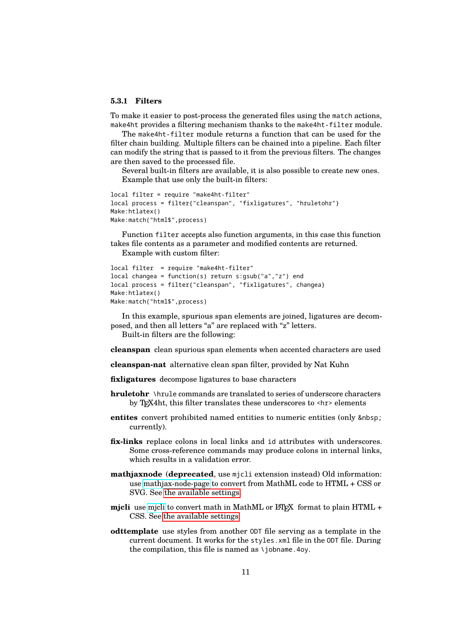#### <span id="page-10-0"></span>**5.3.1 Filters**

To make it easier to post-process the generated files using the match actions, make4ht provides a filtering mechanism thanks to the make4ht-filter module.

The make4ht-filter module returns a function that can be used for the filter chain building. Multiple filters can be chained into a pipeline. Each filter can modify the string that is passed to it from the previous filters. The changes are then saved to the processed file.

Several built-in filters are available, it is also possible to create new ones. Example that use only the built-in filters:

```
local filter = require "make4ht-filter"
local process = filter{"cleanspan", "fixligatures", "hruletohr"}
Make:htlatex()
Make:match("html$",process)
```
Function filter accepts also function arguments, in this case this function takes file contents as a parameter and modified contents are returned.

Example with custom filter:

```
local filter = require "make4ht-filter"
local changea = function(s) return s:gsub("a","z") end
local process = filter{"cleanspan", "fixligatures", changea}
Make:htlatex()
Make:match("html$",process)
```
In this example, spurious span elements are joined, ligatures are decomposed, and then all letters "a" are replaced with "z" letters.

Built-in filters are the following:

**cleanspan** clean spurious span elements when accented characters are used

**cleanspan-nat** alternative clean span filter, provided by Nat Kuhn

**fixligatures** decompose ligatures to base characters

- **hruletohr** \hrule commands are translated to series of underscore characters by TEX4ht, this filter translates these underscores to <hr> elements
- **entites** convert prohibited named entities to numeric entities (only currently).
- **fix-links** replace colons in local links and id attributes with underscores. Some cross-reference commands may produce colons in internal links, which results in a validation error.
- **mathjaxnode** (**deprecated**, use mjcli extension instead) Old information: use [mathjax-node-page](https://github.com/pkra/mathjax-node-page/) to convert from MathML code to HTML + CSS or SVG. See [the available settings.](#page-16-3)
- **mjcli** use [mjcli](https://github.com/michal-h21/mjcli) to convert math in MathML or LATEX format to plain HTML + CSS. See [the available settings.](#page-16-3)
- **odttemplate** use styles from another ODT file serving as a template in the current document. It works for the styles.xml file in the ODT file. During the compilation, this file is named as  $\iota$  iobname. 4ov.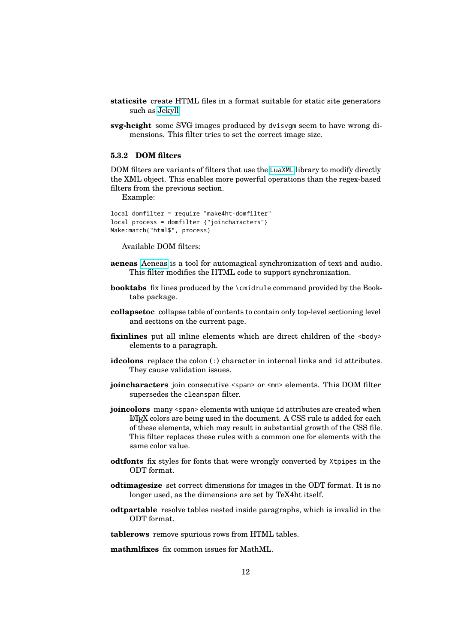- **staticsite** create HTML files in a format suitable for static site generators such as [Jekyll](https://jekyllrb.com/)
- **svg-height** some SVG images produced by dvisvgm seem to have wrong dimensions. This filter tries to set the correct image size.

### <span id="page-11-0"></span>**5.3.2 DOM filters**

DOM filters are variants of filters that use the [LuaXML](https://ctan.org/pkg/luaxml) library to modify directly the XML object. This enables more powerful operations than the regex-based filters from the previous section.

Example:

local domfilter = require "make4ht-domfilter" local process = domfilter {"joincharacters"} Make:match("html\$", process)

Available DOM filters:

- **aeneas** [Aeneas](https://www.readbeyond.it/aeneas/) is a tool for automagical synchronization of text and audio. This filter modifies the HTML code to support synchronization.
- **booktabs** fix lines produced by the \cmidrule command provided by the Booktabs package.
- **collapsetoc** collapse table of contents to contain only top-level sectioning level and sections on the current page.
- **fixinlines** put all inline elements which are direct children of the <br/>body> elements to a paragraph.
- **idcolons** replace the colon (:) character in internal links and id attributes. They cause validation issues.
- **joincharacters** join consecutive <span> or <mn> elements. This DOM filter supersedes the cleanspan filter.
- **joincolors** many <span> elements with unique id attributes are created when LATEX colors are being used in the document. A CSS rule is added for each of these elements, which may result in substantial growth of the CSS file. This filter replaces these rules with a common one for elements with the same color value.
- **odtfonts** fix styles for fonts that were wrongly converted by Xtpipes in the ODT format.
- **odtimagesize** set correct dimensions for images in the ODT format. It is no longer used, as the dimensions are set by TeX4ht itself.
- **odtpartable** resolve tables nested inside paragraphs, which is invalid in the ODT format.
- **tablerows** remove spurious rows from HTML tables.

**mathmlfixes** fix common issues for MathML.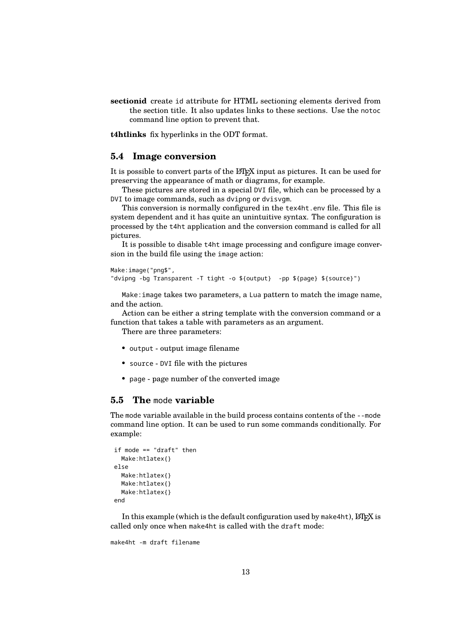**sectionid** create id attribute for HTML sectioning elements derived from the section title. It also updates links to these sections. Use the notoc command line option to prevent that.

**t4htlinks** fix hyperlinks in the ODT format.

#### <span id="page-12-0"></span>**5.4 Image conversion**

It is possible to convert parts of the LAT<sub>EX</sub> input as pictures. It can be used for preserving the appearance of math or diagrams, for example.

These pictures are stored in a special DVI file, which can be processed by a DVI to image commands, such as dvipng or dvisvgm.

This conversion is normally configured in the tex4ht.env file. This file is system dependent and it has quite an unintuitive syntax. The configuration is processed by the t4ht application and the conversion command is called for all pictures.

It is possible to disable t4ht image processing and configure image conversion in the build file using the image action:

Make:image("png\$", "dvipng -bg Transparent -T tight -o \${output} -pp \${page} \${source}")

Make:image takes two parameters, a Lua pattern to match the image name, and the action.

Action can be either a string template with the conversion command or a function that takes a table with parameters as an argument.

There are three parameters:

- output output image filename
- source DVI file with the pictures
- page page number of the converted image

### <span id="page-12-1"></span>**5.5 The** mode **variable**

The mode variable available in the build process contains contents of the --mode command line option. It can be used to run some commands conditionally. For example:

```
if mode == "draft" then
  Make:htlatex{}
else
  Make:htlatex{}
  Make:htlatex{}
  Make:htlatex{}
end
```
In this example (which is the default configuration used by make4ht),  $\angle M$ <sub>E</sub>X is called only once when make4ht is called with the draft mode:

make4ht -m draft filename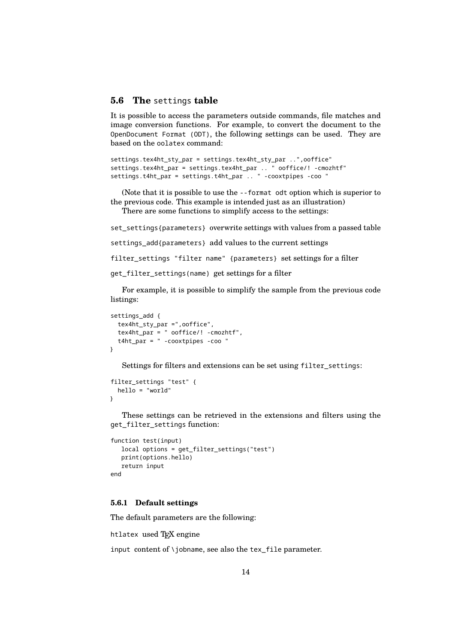#### <span id="page-13-0"></span>**5.6 The** settings **table**

It is possible to access the parameters outside commands, file matches and image conversion functions. For example, to convert the document to the OpenDocument Format (ODT), the following settings can be used. They are based on the oolatex command:

```
settings.tex4ht_sty_par = settings.tex4ht_sty_par ..",ooffice"
settings.tex4ht_par = settings.tex4ht_par .. " ooffice/! -cmozhtf"
settings.t4ht_par = settings.t4ht_par .. " -cooxtpipes -coo "
```
(Note that it is possible to use the --format odt option which is superior to the previous code. This example is intended just as an illustration) There are some functions to simplify access to the settings:

set\_settings{parameters} overwrite settings with values from a passed table

settings\_add{parameters} add values to the current settings

filter\_settings "filter name" {parameters} set settings for a filter

```
get_filter_settings(name) get settings for a filter
```
For example, it is possible to simplify the sample from the previous code listings:

```
settings add {
  tex4ht_sty_par =",ooffice",
  tex4ht_par = " ooffice/! -cmozhtf",
  t4ht_par = " -cooxtpipes -coo "
}
```
Settings for filters and extensions can be set using filter\_settings:

```
filter settings "test" {
  hello = "world"
}
```
These settings can be retrieved in the extensions and filters using the get filter settings function:

```
function test(input)
  local options = get_filter_settings("test")
  print(options.hello)
  return input
end
```
#### <span id="page-13-1"></span>**5.6.1 Default settings**

The default parameters are the following:

```
htlatex used TFX engine
```
input content of \iobname, see also the tex file parameter.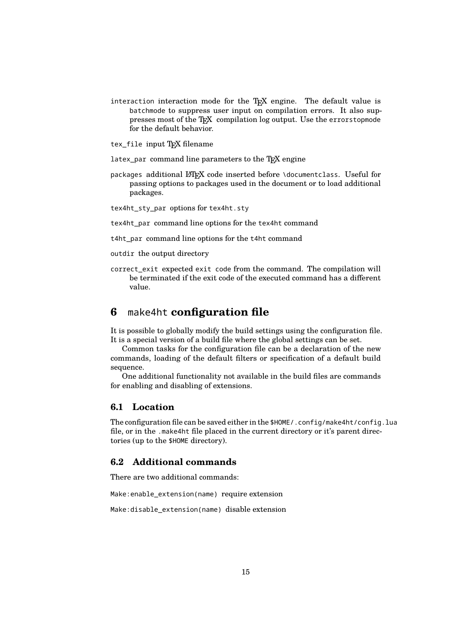interaction interaction mode for the TEX engine. The default value is batchmode to suppress user input on compilation errors. It also suppresses most of the TEX compilation log output. Use the errorstopmode for the default behavior.

tex\_file input TFX filename

- latex\_par command line parameters to the TFX engine
- packages additional LATEX code inserted before \documentclass. Useful for passing options to packages used in the document or to load additional packages.

tex4ht\_sty\_par options for tex4ht.sty

tex4ht\_par command line options for the tex4ht command

t4ht\_par command line options for the t4ht command

outdir the output directory

correct exit expected exit code from the command. The compilation will be terminated if the exit code of the executed command has a different value.

# <span id="page-14-0"></span>**6** make4ht **configuration file**

It is possible to globally modify the build settings using the configuration file. It is a special version of a build file where the global settings can be set.

Common tasks for the configuration file can be a declaration of the new commands, loading of the default filters or specification of a default build sequence.

One additional functionality not available in the build files are commands for enabling and disabling of extensions.

### <span id="page-14-1"></span>**6.1 Location**

The configuration file can be saved either in the \$HOME/.config/make4ht/config.lua file, or in the .make4ht file placed in the current directory or it's parent directories (up to the \$HOME directory).

## <span id="page-14-2"></span>**6.2 Additional commands**

There are two additional commands:

Make:enable\_extension(name) require extension

Make:disable extension(name) disable extension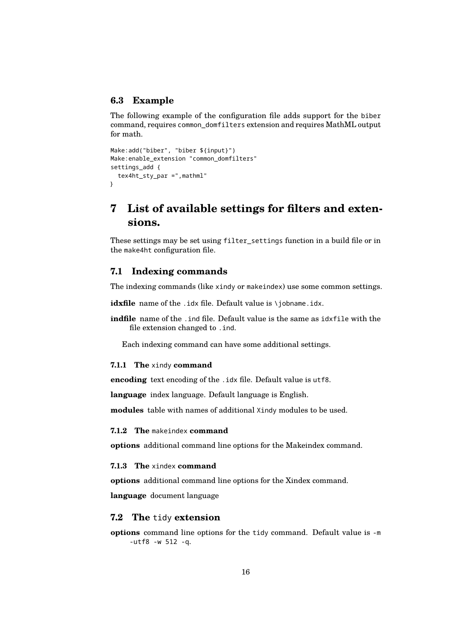# <span id="page-15-0"></span>**6.3 Example**

The following example of the configuration file adds support for the biber command, requires common\_domfilters extension and requires MathML output for math.

```
Make:add("biber", "biber ${input}")
Make:enable_extension "common_domfilters"
settings_add {
  tex4ht_sty_par =",mathml"
}
```
# <span id="page-15-1"></span>**7 List of available settings for filters and extensions.**

These settings may be set using filter settings function in a build file or in the make4ht configuration file.

### <span id="page-15-2"></span>**7.1 Indexing commands**

The indexing commands (like xindy or makeindex) use some common settings.

idxfile name of the .idx file. Default value is \jobname.idx.

indfile name of the .ind file. Default value is the same as idxfile with the file extension changed to .ind.

Each indexing command can have some additional settings.

#### <span id="page-15-3"></span>**7.1.1 The** xindy **command**

**encoding** text encoding of the .idx file. Default value is utf8.

**language** index language. Default language is English.

**modules** table with names of additional Xindy modules to be used.

#### <span id="page-15-4"></span>**7.1.2 The** makeindex **command**

**options** additional command line options for the Makeindex command.

#### <span id="page-15-5"></span>**7.1.3 The** xindex **command**

**options** additional command line options for the Xindex command.

**language** document language

#### <span id="page-15-6"></span>**7.2 The** tidy **extension**

**options** command line options for the tidy command. Default value is -m -utf8 -w 512 -q.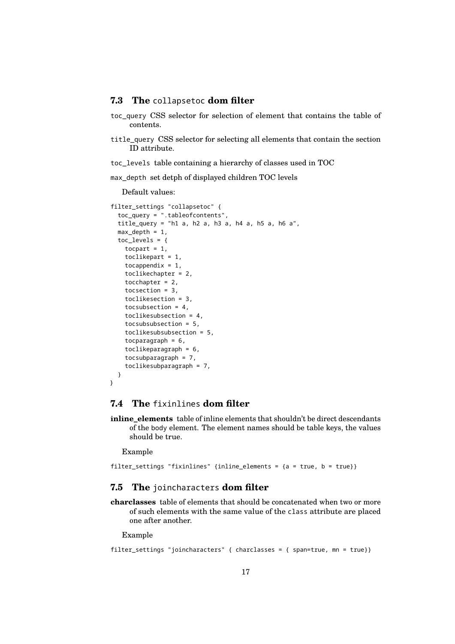#### <span id="page-16-0"></span>**7.3 The** collapsetoc **dom filter**

- toc\_query CSS selector for selection of element that contains the table of contents.
- title\_query CSS selector for selecting all elements that contain the section ID attribute.

toc\_levels table containing a hierarchy of classes used in TOC

max\_depth set detph of displayed children TOC levels

Default values:

```
filter settings "collapsetoc" {
  toc_query = ".tableofcontents",
  title_query = "h1 a, h2 a, h3 a, h4 a, h5 a, h6 a",
  max depth = 1,
  toc levels = {}tocpart = 1,
    toclikepart = 1,
    tocappendix = 1,
    toclikechapter = 2,
    tocchapter = 2,
    tocsection = 3,
    toclikesection = 3,
    tocsubsection = 4,
    toclikesubsection = 4,
    tocsubsubsection = 5,
    toclikesubsubsection = 5,
    tocparagraph = 6,
    toclikeparagraph = 6,
    tocsubparagraph = 7,
    toclikesubparagraph = 7,
  }
}
```
## <span id="page-16-1"></span>**7.4 The** fixinlines **dom filter**

**inline\_elements** table of inline elements that shouldn't be direct descendants of the body element. The element names should be table keys, the values should be true.

Example

filter settings "fixinlines" {inline elements = {a = true, b = true}}

#### <span id="page-16-2"></span>**7.5 The** joincharacters **dom filter**

**charclasses** table of elements that should be concatenated when two or more of such elements with the same value of the class attribute are placed one after another.

Example

```
filter_settings "joincharacters" { charclasses = { span=true, mn = true}}
```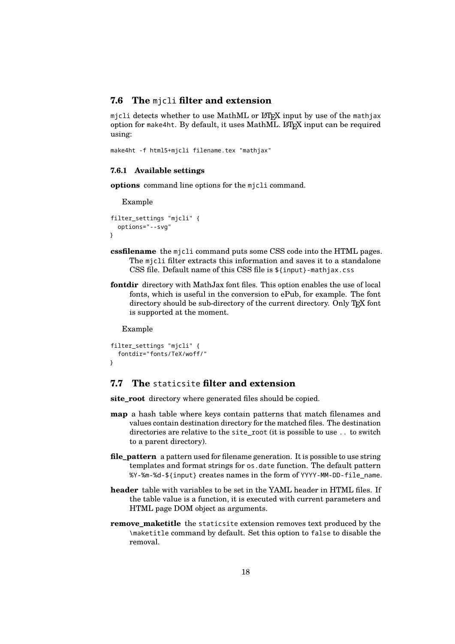#### <span id="page-17-0"></span>**7.6 The** mjcli **filter and extension**

micli detects whether to use MathML or LATEX input by use of the mathiax option for make4ht. By default, it uses MathML. LATEX input can be required using:

```
make4ht -f html5+mjcli filename.tex "mathjax"
```
#### <span id="page-17-1"></span>**7.6.1 Available settings**

**options** command line options for the mjcli command.

Example

```
filter_settings "mjcli" {
  options="--svg"
}
```
- **cssfilename** the mjcli command puts some CSS code into the HTML pages. The mjcli filter extracts this information and saves it to a standalone CSS file. Default name of this CSS file is \${input}-mathjax.css
- **fontdir** directory with MathJax font files. This option enables the use of local fonts, which is useful in the conversion to ePub, for example. The font directory should be sub-directory of the current directory. Only TEX font is supported at the moment.

Example

```
filter_settings "mjcli" {
  fontdir="fonts/TeX/woff/"
}
```
# <span id="page-17-2"></span>**7.7 The** staticsite **filter and extension**

**site\_root** directory where generated files should be copied.

- **map** a hash table where keys contain patterns that match filenames and values contain destination directory for the matched files. The destination directories are relative to the site\_root (it is possible to use .. to switch to a parent directory).
- **file\_pattern** a pattern used for filename generation. It is possible to use string templates and format strings for os.date function. The default pattern %Y-%m-%d-\${input} creates names in the form of YYYY-MM-DD-file\_name.
- **header** table with variables to be set in the YAML header in HTML files. If the table value is a function, it is executed with current parameters and HTML page DOM object as arguments.
- **remove\_maketitle** the staticsite extension removes text produced by the \maketitle command by default. Set this option to false to disable the removal.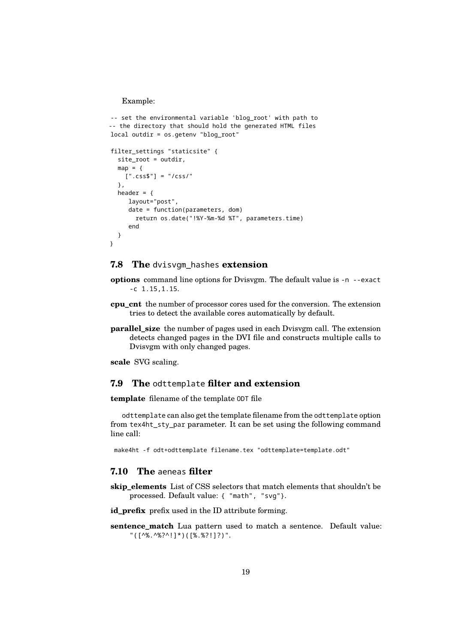Example:

```
-- set the environmental variable 'blog_root' with path to
-- the directory that should hold the generated HTML files
local outdir = os.getenv "blog_root"
filter_settings "staticsite" {
  site_root = outdir,
  map = \{[''.css$"] = "/css/"},
  header = \{layout="post",
     date = function(parameters, dom)
       return os.date("!%Y-%m-%d %T", parameters.time)
     end
  }
}
```
#### <span id="page-18-0"></span>**7.8 The** dvisvgm\_hashes **extension**

- **options** command line options for Dvisvgm. The default value is -n --exact -c 1.15,1.15.
- **cpu\_cnt** the number of processor cores used for the conversion. The extension tries to detect the available cores automatically by default.
- **parallel** size the number of pages used in each Dvisvgm call. The extension detects changed pages in the DVI file and constructs multiple calls to Dvisvgm with only changed pages.

**scale** SVG scaling.

#### <span id="page-18-1"></span>**7.9 The** odttemplate **filter and extension**

**template** filename of the template ODT file

odttemplate can also get the template filename from the odttemplate option from tex4ht\_sty\_par parameter. It can be set using the following command line call:

make4ht -f odt+odttemplate filename.tex "odttemplate=template.odt"

### <span id="page-18-2"></span>**7.10 The** aeneas **filter**

**skip\_elements** List of CSS selectors that match elements that shouldn't be processed. Default value: { "math", "svg"}.

**id\_prefix** prefix used in the ID attribute forming.

**sentence\_match** Lua pattern used to match a sentence. Default value: "([^%.^%?^!]\*)([%.%?!]?)".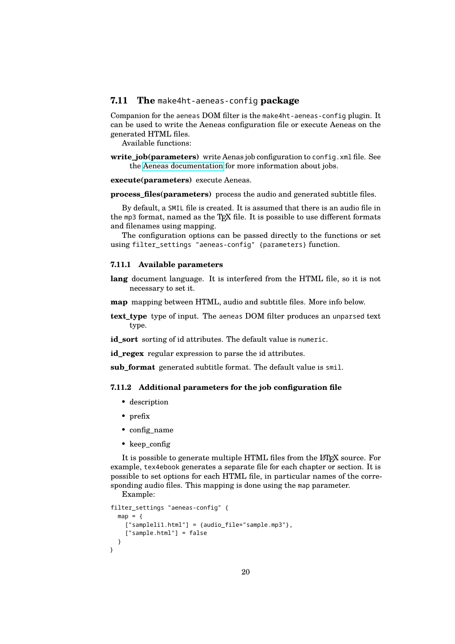#### <span id="page-19-0"></span>**7.11 The** make4ht-aeneas-config **package**

Companion for the aeneas DOM filter is the make4ht-aeneas-config plugin. It can be used to write the Aeneas configuration file or execute Aeneas on the generated HTML files.

Available functions:

**write job(parameters)** write Aenas job configuration to config.xml file. See the [Aeneas documentation](https://www.readbeyond.it/aeneas/docs/clitutorial.html#processing-jobs) for more information about jobs.

**execute(parameters)** execute Aeneas.

**process\_files(parameters)** process the audio and generated subtitle files.

By default, a SMIL file is created. It is assumed that there is an audio file in the mp3 format, named as the  $T_{F}X$  file. It is possible to use different formats and filenames using mapping.

The configuration options can be passed directly to the functions or set using filter\_settings "aeneas-config" {parameters} function.

#### <span id="page-19-1"></span>**7.11.1 Available parameters**

- **lang** document language. It is interfered from the HTML file, so it is not necessary to set it.
- **map** mapping between HTML, audio and subtitle files. More info below.
- **text\_type** type of input. The aeneas DOM filter produces an unparsed text type.

id sort sorting of id attributes. The default value is numeric.

**id\_regex** regular expression to parse the id attributes.

sub format generated subtitle format. The default value is smil.

#### <span id="page-19-2"></span>**7.11.2 Additional parameters for the job configuration file**

- description
- prefix
- config\_name
- keep config

It is possible to generate multiple HTML files from the LATEX source. For example, tex4ebook generates a separate file for each chapter or section. It is possible to set options for each HTML file, in particular names of the corresponding audio files. This mapping is done using the map parameter.

```
Example:
filter_settings "aeneas-config" {
  map = \{["sampleli1.html"] = {audio_file="sample.mp3"},
    ["sample.html"] = false
  }
}
```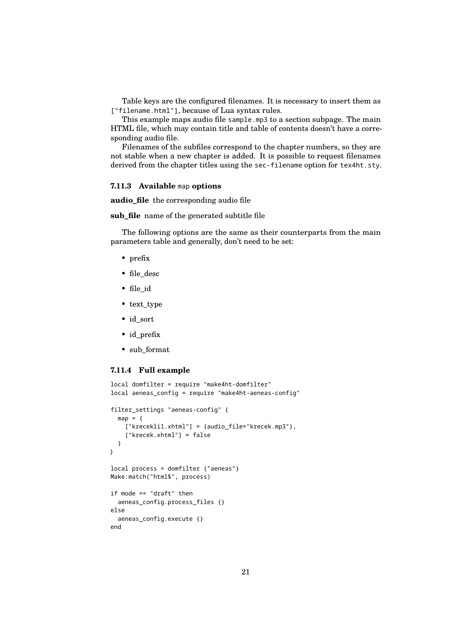Table keys are the configured filenames. It is necessary to insert them as ["filename.html"], because of Lua syntax rules.

This example maps audio file sample.mp3 to a section subpage. The main HTML file, which may contain title and table of contents doesn't have a corresponding audio file.

Filenames of the subfiles correspond to the chapter numbers, so they are not stable when a new chapter is added. It is possible to request filenames derived from the chapter titles using the sec-filename option for tex4ht.sty.

#### <span id="page-20-0"></span>**7.11.3 Available** map **options**

**audio\_file** the corresponding audio file

**sub\_file** name of the generated subtitle file

The following options are the same as their counterparts from the main parameters table and generally, don't need to be set:

- prefix
- file\_desc
- file\_id
- text\_type
- id\_sort
- id\_prefix
- sub\_format

#### <span id="page-20-1"></span>**7.11.4 Full example**

```
local domfilter = require "make4ht-domfilter"
local aeneas_config = require "make4ht-aeneas-config"
filter_settings "aeneas-config" {
  map = \{["krecekli1.xhtml"] = {audio_file="krecek.mp3"},
    ["krecek.xhtml"] = false
  }
}
local process = domfilter {"aeneas"}
Make:match("html$", process)
if mode == "draft" then
  aeneas_config.process_files {}
else
  aeneas_config.execute {}
end
```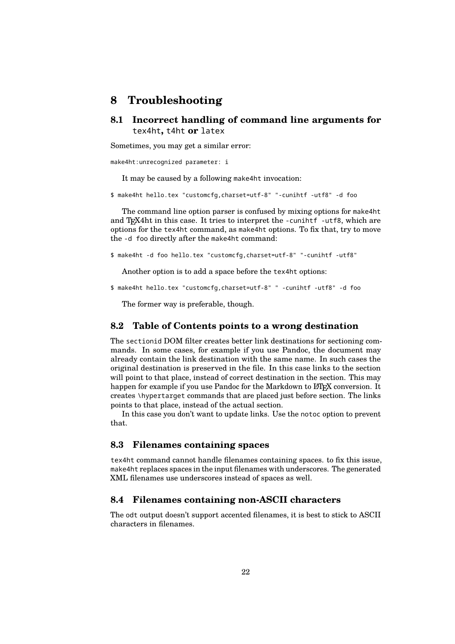# <span id="page-21-0"></span>**8 Troubleshooting**

<span id="page-21-1"></span>**8.1 Incorrect handling of command line arguments for** tex4ht**,** t4ht **or** latex

Sometimes, you may get a similar error:

make4ht:unrecognized parameter: i

It may be caused by a following make4ht invocation:

\$ make4ht hello.tex "customcfg,charset=utf-8" "-cunihtf -utf8" -d foo

The command line option parser is confused by mixing options for make4ht and T<sub>E</sub>X4ht in this case. It tries to interpret the -cunihtf -utf8, which are options for the tex4ht command, as make4ht options. To fix that, try to move the -d foo directly after the make4ht command:

\$ make4ht -d foo hello.tex "customcfg,charset=utf-8" "-cunihtf -utf8"

Another option is to add a space before the tex4ht options:

\$ make4ht hello.tex "customcfg,charset=utf-8" " -cunihtf -utf8" -d foo

The former way is preferable, though.

#### <span id="page-21-2"></span>**8.2 Table of Contents points to a wrong destination**

The sectionid DOM filter creates better link destinations for sectioning commands. In some cases, for example if you use Pandoc, the document may already contain the link destination with the same name. In such cases the original destination is preserved in the file. In this case links to the section will point to that place, instead of correct destination in the section. This may happen for example if you use Pandoc for the Markdown to L<sup>AT</sup>EX conversion. It creates \hypertarget commands that are placed just before section. The links points to that place, instead of the actual section.

In this case you don't want to update links. Use the notoc option to prevent that.

#### <span id="page-21-3"></span>**8.3 Filenames containing spaces**

tex4ht command cannot handle filenames containing spaces. to fix this issue, make4ht replaces spaces in the input filenames with underscores. The generated XML filenames use underscores instead of spaces as well.

#### <span id="page-21-4"></span>**8.4 Filenames containing non-ASCII characters**

The odt output doesn't support accented filenames, it is best to stick to ASCII characters in filenames.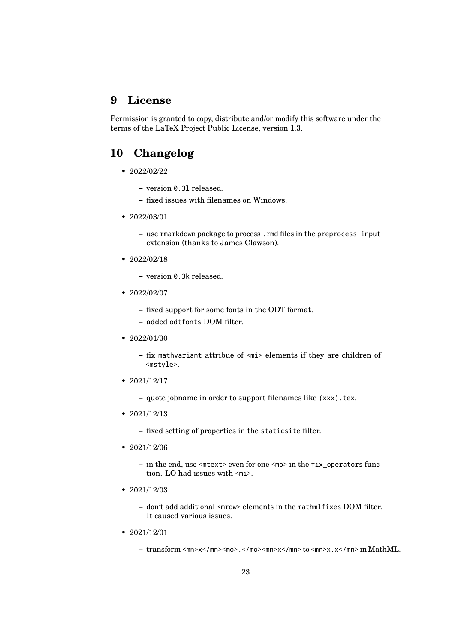# <span id="page-22-0"></span>**9 License**

Permission is granted to copy, distribute and/or modify this software under the terms of the LaTeX Project Public License, version 1.3.

# <span id="page-22-1"></span>**10 Changelog**

- 2022/02/22
	- **–** version 0.3l released.
	- **–** fixed issues with filenames on Windows.
- 2022/03/01
	- **–** use rmarkdown package to process .rmd files in the preprocess\_input extension (thanks to James Clawson).
- 2022/02/18
	- **–** version 0.3k released.
- 2022/02/07
	- **–** fixed support for some fonts in the ODT format.
	- **–** added odtfonts DOM filter.
- 2022/01/30
	- **–** fix mathvariant attribue of <mi> elements if they are children of <mstyle>.
- 2021/12/17
	- **–** quote jobname in order to support filenames like (xxx).tex.
- 2021/12/13
	- **–** fixed setting of properties in the staticsite filter.
- $2021/12/06$ 
	- **–** in the end, use <mtext> even for one <mo> in the fix\_operators function. LO had issues with <mi>.
- 2021/12/03
	- **–** don't add additional <mrow> elements in the mathmlfixes DOM filter. It caused various issues.
- 2021/12/01
	- **–** transform <mn>x</mn><mo>.</mo><mn>x</mn> to <mn>x.x</mn> in MathML.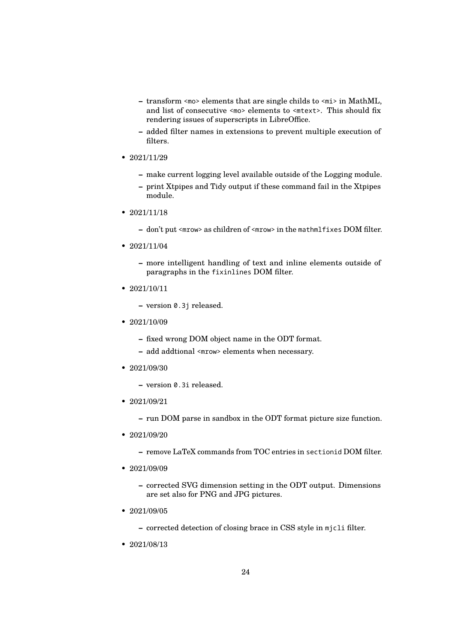- **–** transform <mo> elements that are single childs to <mi> in MathML, and list of consecutive <mo> elements to <mtext>. This should fix rendering issues of superscripts in LibreOffice.
- **–** added filter names in extensions to prevent multiple execution of filters.
- $2021/11/29$ 
	- **–** make current logging level available outside of the Logging module.
	- **–** print Xtpipes and Tidy output if these command fail in the Xtpipes module.
- 2021/11/18
	- **–** don't put <mrow> as children of <mrow> in the mathmlfixes DOM filter.
- 2021/11/04
	- **–** more intelligent handling of text and inline elements outside of paragraphs in the fixinlines DOM filter.
- 2021/10/11
	- **–** version 0.3j released.
- 2021/10/09
	- **–** fixed wrong DOM object name in the ODT format.
	- **–** add addtional <mrow> elements when necessary.
- 2021/09/30
	- **–** version 0.3i released.
- 2021/09/21
	- **–** run DOM parse in sandbox in the ODT format picture size function.
- $2021/09/20$ 
	- **–** remove LaTeX commands from TOC entries in sectionid DOM filter.
- 2021/09/09
	- **–** corrected SVG dimension setting in the ODT output. Dimensions are set also for PNG and JPG pictures.
- 2021/09/05
	- **–** corrected detection of closing brace in CSS style in mjcli filter.
- 2021/08/13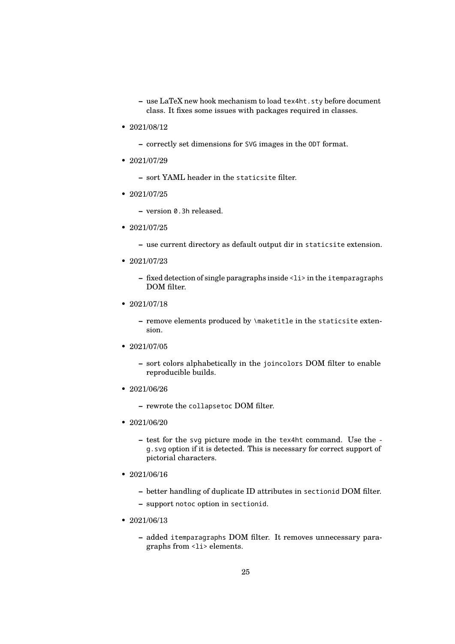**–** use LaTeX new hook mechanism to load tex4ht.sty before document class. It fixes some issues with packages required in classes.

• 2021/08/12

**–** correctly set dimensions for SVG images in the ODT format.

• 2021/07/29

**–** sort YAML header in the staticsite filter.

• 2021/07/25

**–** version 0.3h released.

- 2021/07/25
	- **–** use current directory as default output dir in staticsite extension.
- 2021/07/23
	- **–** fixed detection of single paragraphs inside <li> in the itemparagraphs DOM filter.
- 2021/07/18
	- **–** remove elements produced by \maketitle in the staticsite extension.
- 2021/07/05
	- **–** sort colors alphabetically in the joincolors DOM filter to enable reproducible builds.
- 2021/06/26
	- **–** rewrote the collapsetoc DOM filter.
- 2021/06/20
	- **–** test for the svg picture mode in the tex4ht command. Use the g.svg option if it is detected. This is necessary for correct support of pictorial characters.
- 2021/06/16
	- **–** better handling of duplicate ID attributes in sectionid DOM filter.
	- **–** support notoc option in sectionid.
- 2021/06/13
	- **–** added itemparagraphs DOM filter. It removes unnecessary paragraphs from <li> elements.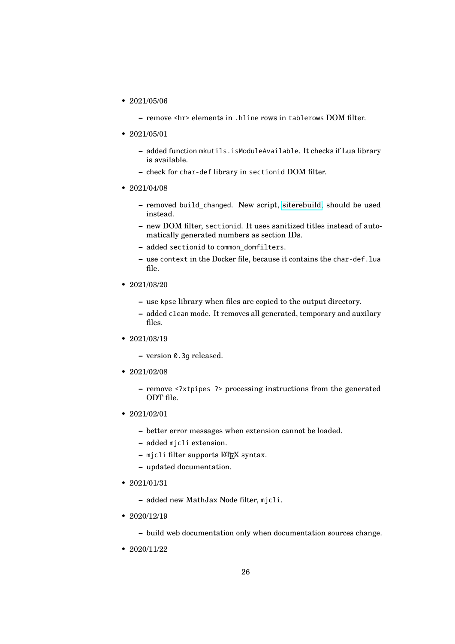- 2021/05/06
	- **–** remove <hr> elements in .hline rows in tablerows DOM filter.
- 2021/05/01
	- **–** added function mkutils.isModuleAvailable. It checks if Lua library is available.
	- **–** check for char-def library in sectionid DOM filter.
- 2021/04/08
	- **–** removed build\_changed. New script, [siterebuild,](https://github.com/michal-h21/siterebuild) should be used instead.
	- **–** new DOM filter, sectionid. It uses sanitized titles instead of automatically generated numbers as section IDs.
	- **–** added sectionid to common\_domfilters.
	- **–** use context in the Docker file, because it contains the char-def.lua file.
- 2021/03/20
	- **–** use kpse library when files are copied to the output directory.
	- **–** added clean mode. It removes all generated, temporary and auxilary files.
- 2021/03/19
	- **–** version 0.3g released.
- 2021/02/08
	- **–** remove <?xtpipes ?> processing instructions from the generated ODT file.
- 2021/02/01
	- **–** better error messages when extension cannot be loaded.
	- **–** added mjcli extension.
	- **–** mjcli filter supports LATEX syntax.
	- **–** updated documentation.
- 2021/01/31
	- **–** added new MathJax Node filter, mjcli.
- $2020/12/19$

**–** build web documentation only when documentation sources change.

• 2020/11/22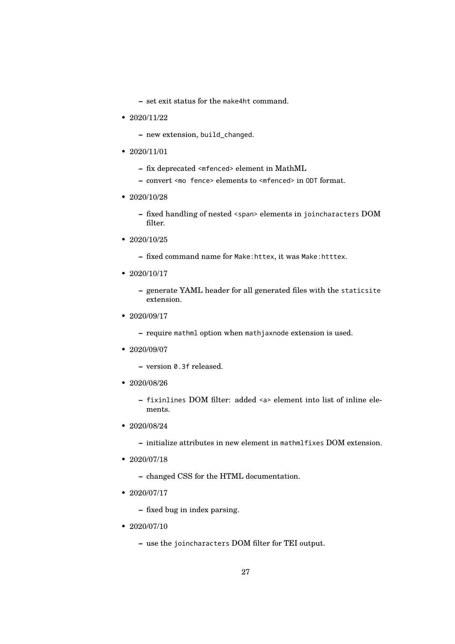**–** set exit status for the make4ht command.

- 2020/11/22
	- **–** new extension, build\_changed.
- 2020/11/01
	- **–** fix deprecated <mfenced> element in MathML
	- **–** convert <mo fence> elements to <mfenced> in ODT format.
- 2020/10/28
	- **–** fixed handling of nested <span> elements in joincharacters DOM filter.
- 2020/10/25
	- **–** fixed command name for Make:httex, it was Make:htttex.
- $2020/10/17$ 
	- **–** generate YAML header for all generated files with the staticsite extension.
- 2020/09/17
	- **–** require mathml option when mathjaxnode extension is used.
- 2020/09/07
	- **–** version 0.3f released.
- 2020/08/26
	- **–** fixinlines DOM filter: added <a> element into list of inline elements.
- $2020/08/24$ 
	- **–** initialize attributes in new element in mathmlfixes DOM extension.
- 2020/07/18
	- **–** changed CSS for the HTML documentation.
- 2020/07/17
	- **–** fixed bug in index parsing.
- 2020/07/10
	- **–** use the joincharacters DOM filter for TEI output.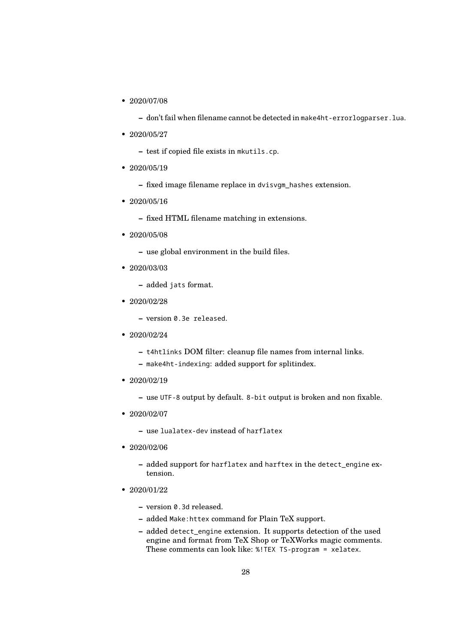• 2020/07/08

**–** don't fail when filename cannot be detected in make4ht-errorlogparser.lua.

- 2020/05/27
	- **–** test if copied file exists in mkutils.cp.
- 2020/05/19
	- **–** fixed image filename replace in dvisvgm\_hashes extension.
- 2020/05/16

**–** fixed HTML filename matching in extensions.

- 2020/05/08
	- **–** use global environment in the build files.
- 2020/03/03
	- **–** added jats format.
- 2020/02/28
	- **–** version 0.3e released.
- 2020/02/24
	- **–** t4htlinks DOM filter: cleanup file names from internal links.
	- **–** make4ht-indexing: added support for splitindex.
- $2020/02/19$ 
	- **–** use UTF-8 output by default. 8-bit output is broken and non fixable.
- 2020/02/07
	- **–** use lualatex-dev instead of harflatex
- 2020/02/06
	- **–** added support for harflatex and harftex in the detect\_engine extension.
- 2020/01/22
	- **–** version 0.3d released.
	- **–** added Make:httex command for Plain TeX support.
	- **–** added detect\_engine extension. It supports detection of the used engine and format from TeX Shop or TeXWorks magic comments. These comments can look like: %!TEX TS-program = xelatex.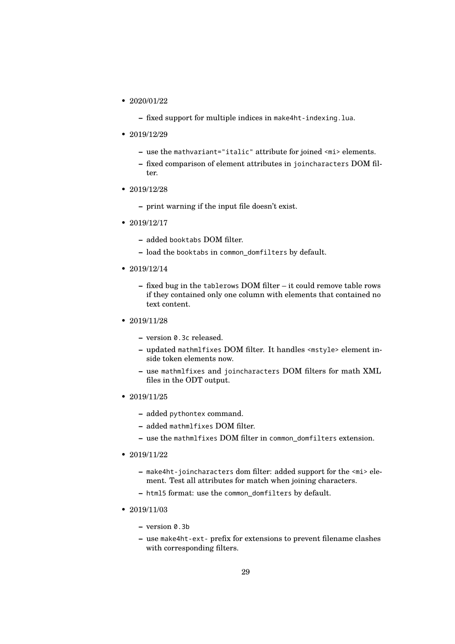- 2020/01/22
	- **–** fixed support for multiple indices in make4ht-indexing.lua.
- 2019/12/29
	- **–** use the mathvariant="italic" attribute for joined <mi> elements.
	- **–** fixed comparison of element attributes in joincharacters DOM filter.
- 2019/12/28
	- **–** print warning if the input file doesn't exist.
- 2019/12/17
	- **–** added booktabs DOM filter.
	- **–** load the booktabs in common\_domfilters by default.
- $2019/12/14$ 
	- **–** fixed bug in the tablerows DOM filter it could remove table rows if they contained only one column with elements that contained no text content.
- 2019/11/28
	- **–** version 0.3c released.
	- **–** updated mathmlfixes DOM filter. It handles <mstyle> element inside token elements now.
	- **–** use mathmlfixes and joincharacters DOM filters for math XML files in the ODT output.
- 2019/11/25
	- **–** added pythontex command.
	- **–** added mathmlfixes DOM filter.
	- **–** use the mathmlfixes DOM filter in common\_domfilters extension.
- 2019/11/22
	- **–** make4ht-joincharacters dom filter: added support for the <mi> element. Test all attributes for match when joining characters.
	- **–** html5 format: use the common\_domfilters by default.
- 2019/11/03
	- **–** version 0.3b
	- **–** use make4ht-ext- prefix for extensions to prevent filename clashes with corresponding filters.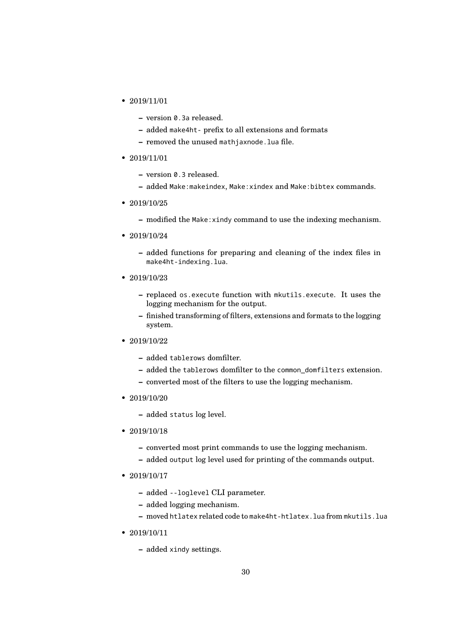- 2019/11/01
	- **–** version 0.3a released.
	- **–** added make4ht- prefix to all extensions and formats
	- **–** removed the unused mathjaxnode.lua file.
- 2019/11/01
	- **–** version 0.3 released.
	- **–** added Make:makeindex, Make:xindex and Make:bibtex commands.
- 2019/10/25
	- **–** modified the Make:xindy command to use the indexing mechanism.
- 2019/10/24
	- **–** added functions for preparing and cleaning of the index files in make4ht-indexing.lua.
- 2019/10/23
	- **–** replaced os.execute function with mkutils.execute. It uses the logging mechanism for the output.
	- **–** finished transforming of filters, extensions and formats to the logging system.
- 2019/10/22
	- **–** added tablerows domfilter.
	- **–** added the tablerows domfilter to the common\_domfilters extension.
	- **–** converted most of the filters to use the logging mechanism.
- $2019/10/20$ 
	- **–** added status log level.
- 2019/10/18
	- **–** converted most print commands to use the logging mechanism.
	- **–** added output log level used for printing of the commands output.
- 2019/10/17
	- **–** added --loglevel CLI parameter.
	- **–** added logging mechanism.
	- **–** moved htlatex related code to make4ht-htlatex.lua from mkutils.lua
- 2019/10/11
	- **–** added xindy settings.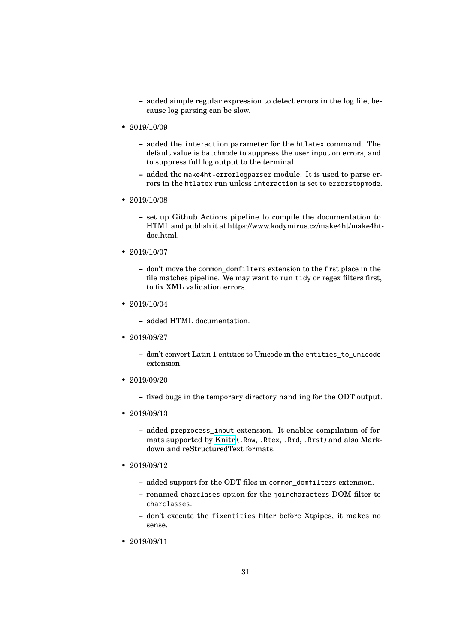- **–** added simple regular expression to detect errors in the log file, because log parsing can be slow.
- 2019/10/09
	- **–** added the interaction parameter for the htlatex command. The default value is batchmode to suppress the user input on errors, and to suppress full log output to the terminal.
	- **–** added the make4ht-errorlogparser module. It is used to parse errors in the htlatex run unless interaction is set to errorstopmode.
- 2019/10/08
	- **–** set up Github Actions pipeline to compile the documentation to HTML and publish it at https://www.kodymirus.cz/make4ht/make4htdoc.html.
- 2019/10/07
	- **–** don't move the common\_domfilters extension to the first place in the file matches pipeline. We may want to run tidy or regex filters first, to fix XML validation errors.
- 2019/10/04
	- **–** added HTML documentation.
- 2019/09/27
	- **–** don't convert Latin 1 entities to Unicode in the entities\_to\_unicode extension.
- 2019/09/20
	- **–** fixed bugs in the temporary directory handling for the ODT output.
- 2019/09/13
	- **–** added preprocess\_input extension. It enables compilation of formats supported by [Knitr](https://yihui.name/knitr/) (.Rnw, .Rtex, .Rmd, .Rrst) and also Markdown and reStructuredText formats.
- 2019/09/12
	- **–** added support for the ODT files in common\_domfilters extension.
	- **–** renamed charclases option for the joincharacters DOM filter to charclasses.
	- **–** don't execute the fixentities filter before Xtpipes, it makes no sense.
- 2019/09/11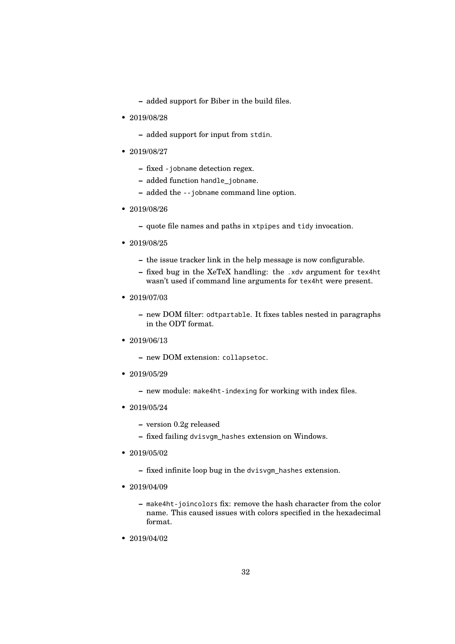**–** added support for Biber in the build files.

- 2019/08/28
	- **–** added support for input from stdin.
- 2019/08/27
	- **–** fixed -jobname detection regex.
	- **–** added function handle\_jobname.
	- **–** added the --jobname command line option.
- 2019/08/26
	- **–** quote file names and paths in xtpipes and tidy invocation.
- 2019/08/25
	- **–** the issue tracker link in the help message is now configurable.
	- **–** fixed bug in the XeTeX handling: the .xdv argument for tex4ht wasn't used if command line arguments for tex4ht were present.
- 2019/07/03
	- **–** new DOM filter: odtpartable. It fixes tables nested in paragraphs in the ODT format.
- 2019/06/13
	- **–** new DOM extension: collapsetoc.
- $2019/05/29$ 
	- **–** new module: make4ht-indexing for working with index files.
- $2019/05/24$ 
	- **–** version 0.2g released
	- **–** fixed failing dvisvgm\_hashes extension on Windows.
- 2019/05/02
	- **–** fixed infinite loop bug in the dvisvgm\_hashes extension.
- 2019/04/09
	- **–** make4ht-joincolors fix: remove the hash character from the color name. This caused issues with colors specified in the hexadecimal format.
- 2019/04/02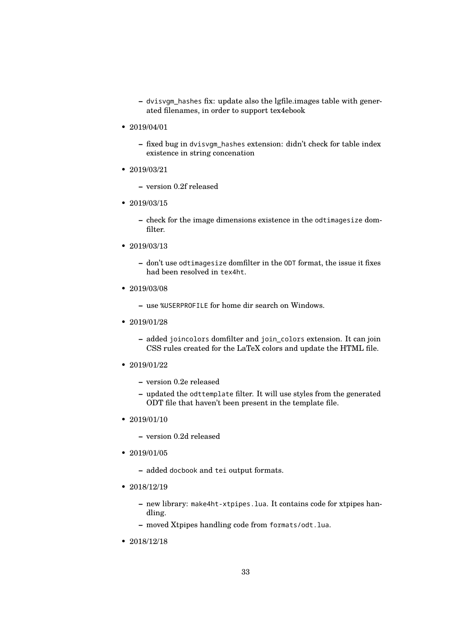**–** dvisvgm\_hashes fix: update also the lgfile.images table with generated filenames, in order to support tex4ebook

• 2019/04/01

**–** fixed bug in dvisvgm\_hashes extension: didn't check for table index existence in string concenation

• 2019/03/21

**–** version 0.2f released

- 2019/03/15
	- **–** check for the image dimensions existence in the odtimagesize domfilter.
- 2019/03/13
	- **–** don't use odtimagesize domfilter in the ODT format, the issue it fixes had been resolved in tex4ht.
- 2019/03/08
	- **–** use %USERPROFILE for home dir search on Windows.
- 2019/01/28
	- **–** added joincolors domfilter and join\_colors extension. It can join CSS rules created for the LaTeX colors and update the HTML file.
- 2019/01/22
	- **–** version 0.2e released
	- **–** updated the odttemplate filter. It will use styles from the generated ODT file that haven't been present in the template file.
- 2019/01/10
	- **–** version 0.2d released
- 2019/01/05
	- **–** added docbook and tei output formats.
- 2018/12/19
	- **–** new library: make4ht-xtpipes.lua. It contains code for xtpipes handling.
	- **–** moved Xtpipes handling code from formats/odt.lua.
- 2018/12/18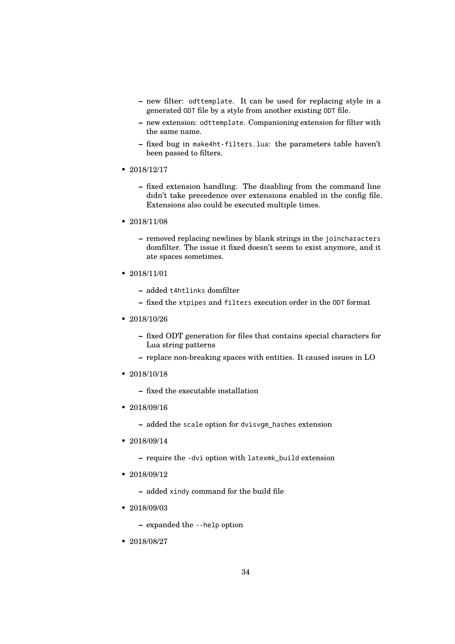- **–** new filter: odttemplate. It can be used for replacing style in a generated ODT file by a style from another existing ODT file.
- **–** new extension: odttemplate. Companioning extension for filter with the same name.
- **–** fixed bug in make4ht-filters.lua: the parameters table haven't been passed to filters.
- 2018/12/17
	- **–** fixed extension handling. The disabling from the command line didn't take precedence over extensions enabled in the config file. Extensions also could be executed multiple times.
- 2018/11/08
	- **–** removed replacing newlines by blank strings in the joincharacters domfilter. The issue it fixed doesn't seem to exist anymore, and it ate spaces sometimes.
- 2018/11/01
	- **–** added t4htlinks domfilter
	- **–** fixed the xtpipes and filters execution order in the ODT format
- 2018/10/26
	- **–** fixed ODT generation for files that contains special characters for Lua string patterns
	- **–** replace non-breaking spaces with entities. It caused issues in LO
- 2018/10/18
	- **–** fixed the executable installation
- 2018/09/16
	- **–** added the scale option for dvisvgm\_hashes extension
- 2018/09/14
	- **–** require the -dvi option with latexmk\_build extension
- 2018/09/12
	- **–** added xindy command for the build file
- 2018/09/03
	- **–** expanded the --help option
- 2018/08/27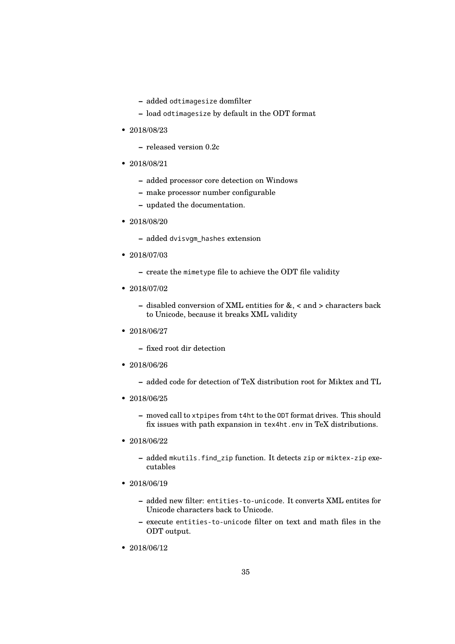- **–** added odtimagesize domfilter
- **–** load odtimagesize by default in the ODT format
- 2018/08/23
	- **–** released version 0.2c
- 2018/08/21
	- **–** added processor core detection on Windows
	- **–** make processor number configurable
	- **–** updated the documentation.
- 2018/08/20
	- **–** added dvisvgm\_hashes extension
- 2018/07/03
	- **–** create the mimetype file to achieve the ODT file validity
- 2018/07/02
	- **–** disabled conversion of XML entities for &, < and > characters back to Unicode, because it breaks XML validity
- 2018/06/27
	- **–** fixed root dir detection
- 2018/06/26
	- **–** added code for detection of TeX distribution root for Miktex and TL
- 2018/06/25
	- **–** moved call to xtpipes from t4ht to the ODT format drives. This should fix issues with path expansion in tex4ht.env in TeX distributions.
- 2018/06/22
	- **–** added mkutils.find\_zip function. It detects zip or miktex-zip executables
- 2018/06/19
	- **–** added new filter: entities-to-unicode. It converts XML entites for Unicode characters back to Unicode.
	- **–** execute entities-to-unicode filter on text and math files in the ODT output.
- 2018/06/12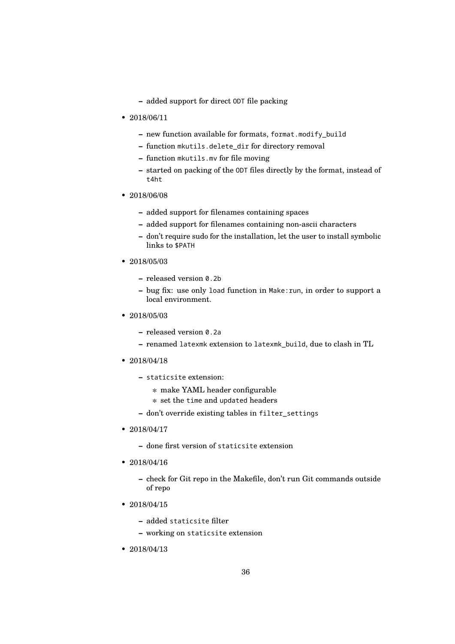- **–** added support for direct ODT file packing
- 2018/06/11
	- **–** new function available for formats, format.modify\_build
	- **–** function mkutils.delete\_dir for directory removal
	- **–** function mkutils.mv for file moving
	- **–** started on packing of the ODT files directly by the format, instead of t4ht
- 2018/06/08
	- **–** added support for filenames containing spaces
	- **–** added support for filenames containing non-ascii characters
	- **–** don't require sudo for the installation, let the user to install symbolic links to \$PATH
- 2018/05/03
	- **–** released version 0.2b
	- **–** bug fix: use only load function in Make:run, in order to support a local environment.
- 2018/05/03
	- **–** released version 0.2a
	- **–** renamed latexmk extension to latexmk\_build, due to clash in TL
- 2018/04/18
	- **–** staticsite extension:
		- ∗ make YAML header configurable
		- ∗ set the time and updated headers
	- **–** don't override existing tables in filter\_settings
- 2018/04/17
	- **–** done first version of staticsite extension
- 2018/04/16
	- **–** check for Git repo in the Makefile, don't run Git commands outside of repo
- 2018/04/15
	- **–** added staticsite filter
	- **–** working on staticsite extension
- 2018/04/13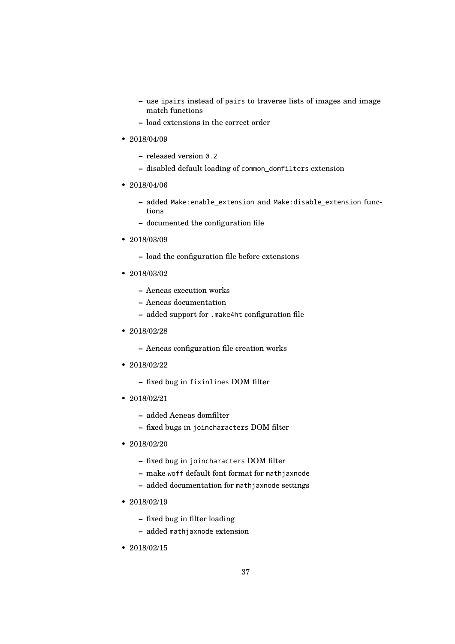- **–** use ipairs instead of pairs to traverse lists of images and image match functions
- **–** load extensions in the correct order
- 2018/04/09
	- **–** released version 0.2
	- **–** disabled default loading of common\_domfilters extension
- 2018/04/06
	- **–** added Make:enable\_extension and Make:disable\_extension functions
	- **–** documented the configuration file
- 2018/03/09
	- **–** load the configuration file before extensions
- 2018/03/02
	- **–** Aeneas execution works
	- **–** Aeneas documentation
	- **–** added support for .make4ht configuration file
- 2018/02/28
	- **–** Aeneas configuration file creation works
- 2018/02/22
	- **–** fixed bug in fixinlines DOM filter
- 2018/02/21
	- **–** added Aeneas domfilter
	- **–** fixed bugs in joincharacters DOM filter
- 2018/02/20
	- **–** fixed bug in joincharacters DOM filter
	- **–** make woff default font format for mathjaxnode
	- **–** added documentation for mathjaxnode settings
- 2018/02/19
	- **–** fixed bug in filter loading
	- **–** added mathjaxnode extension
- 2018/02/15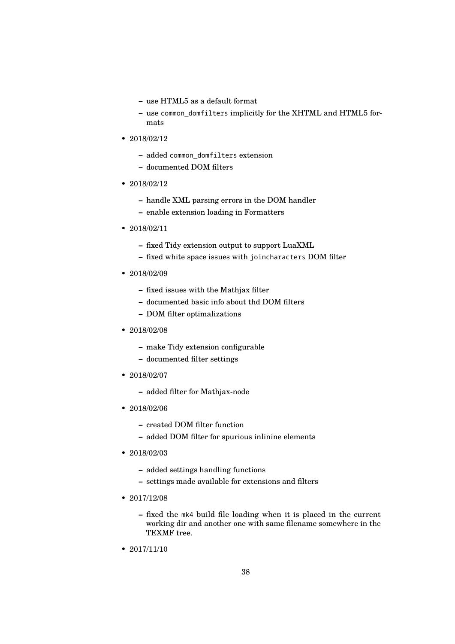- **–** use HTML5 as a default format
- **–** use common\_domfilters implicitly for the XHTML and HTML5 formats
- 2018/02/12
	- **–** added common\_domfilters extension
	- **–** documented DOM filters
- $2018/02/12$ 
	- **–** handle XML parsing errors in the DOM handler
	- **–** enable extension loading in Formatters
- 2018/02/11
	- **–** fixed Tidy extension output to support LuaXML
	- **–** fixed white space issues with joincharacters DOM filter
- 2018/02/09
	- **–** fixed issues with the Mathjax filter
	- **–** documented basic info about thd DOM filters
	- **–** DOM filter optimalizations
- 2018/02/08
	- **–** make Tidy extension configurable
	- **–** documented filter settings
- 2018/02/07
	- **–** added filter for Mathjax-node
- 2018/02/06
	- **–** created DOM filter function
	- **–** added DOM filter for spurious inlinine elements
- 2018/02/03
	- **–** added settings handling functions
	- **–** settings made available for extensions and filters
- 2017/12/08
	- **–** fixed the mk4 build file loading when it is placed in the current working dir and another one with same filename somewhere in the TEXMF tree.
- $2017/11/10$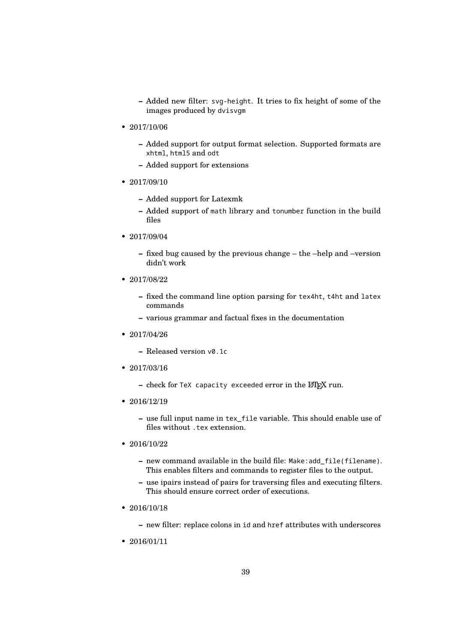- **–** Added new filter: svg-height. It tries to fix height of some of the images produced by dvisvgm
- 2017/10/06
	- **–** Added support for output format selection. Supported formats are xhtml, html5 and odt
	- **–** Added support for extensions
- $2017/09/10$ 
	- **–** Added support for Latexmk
	- **–** Added support of math library and tonumber function in the build files
- 2017/09/04
	- **–** fixed bug caused by the previous change the –help and –version didn't work
- 2017/08/22
	- **–** fixed the command line option parsing for tex4ht, t4ht and latex commands
	- **–** various grammar and factual fixes in the documentation
- 2017/04/26
	- **–** Released version v0.1c
- 2017/03/16
	- **-** check for TeX capacity exceeded error in the LAT<sub>E</sub>X run.
- 2016/12/19
	- **–** use full input name in tex\_file variable. This should enable use of files without .tex extension.
- 2016/10/22
	- **–** new command available in the build file: Make:add\_file(filename). This enables filters and commands to register files to the output.
	- **–** use ipairs instead of pairs for traversing files and executing filters. This should ensure correct order of executions.
- 2016/10/18
	- **–** new filter: replace colons in id and href attributes with underscores
- 2016/01/11